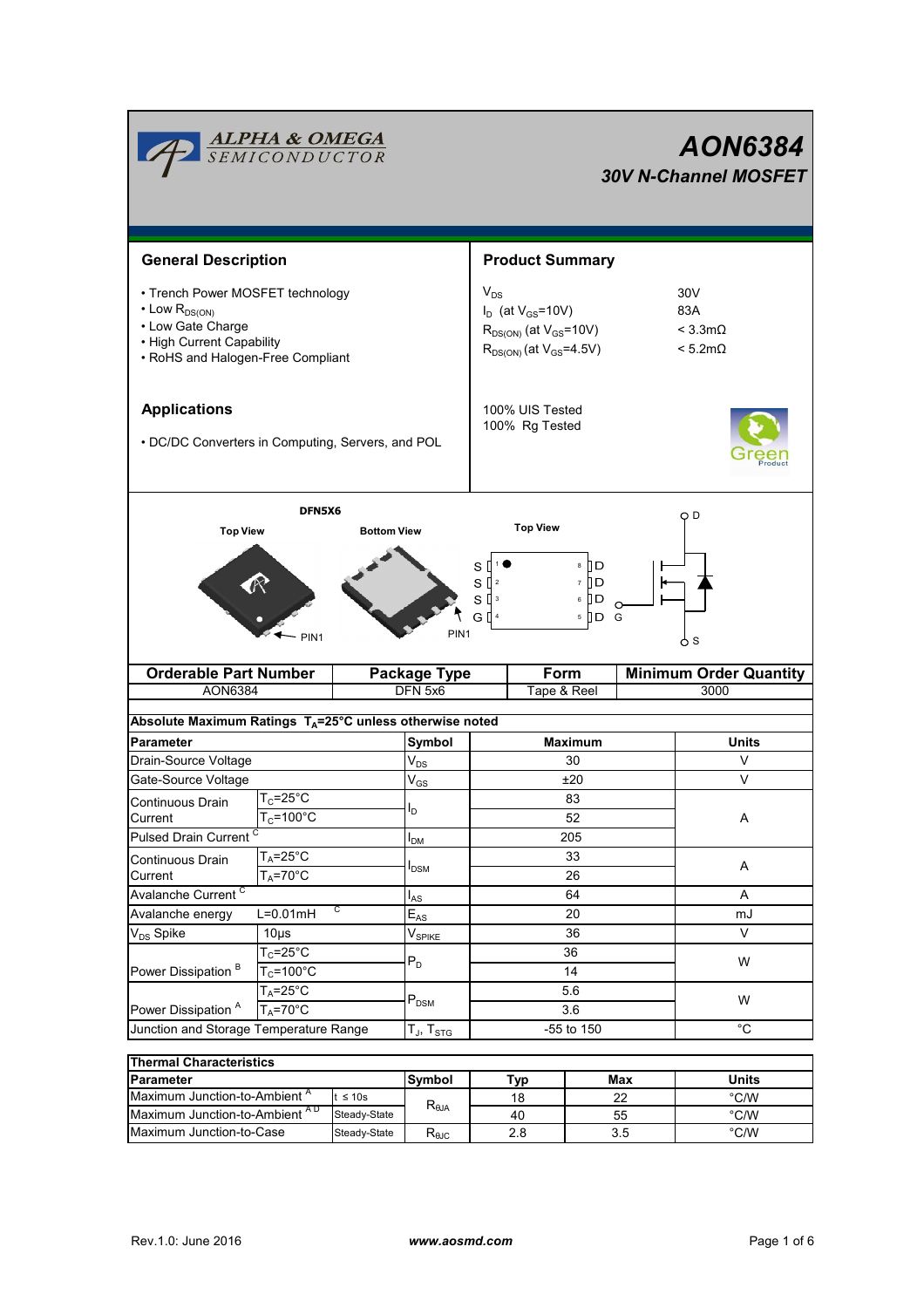|                                                                                                                                                     | <b>ALPHA &amp; OMEGA</b><br>SEMICONDUCTOR           |                                                                                                               |                                                    |                                  |                        |                                                                       |                | AON6384<br><b>30V N-Channel MOSFET</b> |  |  |
|-----------------------------------------------------------------------------------------------------------------------------------------------------|-----------------------------------------------------|---------------------------------------------------------------------------------------------------------------|----------------------------------------------------|----------------------------------|------------------------|-----------------------------------------------------------------------|----------------|----------------------------------------|--|--|
|                                                                                                                                                     | <b>General Description</b>                          |                                                                                                               |                                                    |                                  | <b>Product Summary</b> |                                                                       |                |                                        |  |  |
| • Trench Power MOSFET technology<br>$\cdot$ Low $R_{DS(ON)}$<br>• Low Gate Charge<br>• High Current Capability<br>• RoHS and Halogen-Free Compliant |                                                     | $V_{DS}$<br>$I_D$ (at $V_{GS}$ =10V)<br>$R_{DS(ON)}$ (at $V_{GS}$ =10V)<br>$R_{DS(ON)}$ (at $V_{GS} = 4.5V$ ) |                                                    |                                  |                        | 30 <sub>V</sub><br>83A<br>$< 3.3 \text{mA}$<br>$< 5.2 \text{m}\Omega$ |                |                                        |  |  |
| <b>Applications</b><br>• DC/DC Converters in Computing, Servers, and POL                                                                            |                                                     | 100% UIS Tested<br>100% Rg Tested                                                                             |                                                    |                                  |                        |                                                                       |                |                                        |  |  |
| <b>Top View</b>                                                                                                                                     | DFN5X6                                              | <b>Bottom View</b>                                                                                            |                                                    | s [<br>$S^{2}$<br>$S^{13}$<br>GП | <b>Top View</b>        | 8 ∏ D<br>ם ∏ ז<br>▯◻<br>6<br>$5$ D G                                  |                | O D                                    |  |  |
| PIN <sub>1</sub><br><b>Orderable Part Number</b><br>AON6384                                                                                         |                                                     |                                                                                                               | PIN <sub>1</sub><br><b>Package Type</b><br>DFN 5x6 | Form<br>Tape & Reel              |                        | 6 S<br><b>Minimum Order Quantity</b><br>3000                          |                |                                        |  |  |
|                                                                                                                                                     |                                                     |                                                                                                               |                                                    |                                  |                        |                                                                       |                |                                        |  |  |
| Absolute Maximum Ratings T <sub>A</sub> =25°C unless otherwise noted<br><b>Parameter</b>                                                            |                                                     | Symbol                                                                                                        | <b>Maximum</b>                                     |                                  |                        | <b>Units</b>                                                          |                |                                        |  |  |
| Drain-Source Voltage                                                                                                                                |                                                     |                                                                                                               | $\mathsf{V}_{\mathsf{DS}}$                         | 30                               |                        | V                                                                     |                |                                        |  |  |
| Gate-Source Voltage                                                                                                                                 |                                                     |                                                                                                               | $V_{GS}$                                           | ±20                              |                        |                                                                       | V              |                                        |  |  |
| $T_c = 25$ °C<br>Continuous Drain<br>$T_c = 100^{\circ}C$<br>Current                                                                                |                                                     |                                                                                                               | b.                                                 | 83<br>52                         |                        |                                                                       |                | A                                      |  |  |
| <b>Pulsed Drain Current</b>                                                                                                                         |                                                     |                                                                                                               | I <sub>DM</sub>                                    | 205                              |                        |                                                                       |                |                                        |  |  |
| Continuous Drain<br>Current                                                                                                                         | $T_A = 25^\circ \overline{C}$<br>$T_A = 70^\circ C$ |                                                                                                               |                                                    | 33<br>26                         |                        |                                                                       |                | A                                      |  |  |
| Avalanche Current <sup>C</sup>                                                                                                                      |                                                     |                                                                                                               | $I_{AS}$                                           | 64                               |                        |                                                                       |                | Α                                      |  |  |
| C<br>$L=0.01mH$<br>Avalanche energy                                                                                                                 |                                                     |                                                                                                               | $\mathsf{E}_{\mathsf{AS}}$                         | 20                               |                        |                                                                       |                | mJ                                     |  |  |
| V <sub>DS</sub> Spike<br>$10\mus$                                                                                                                   |                                                     |                                                                                                               | $\mathsf{V}_{\mathsf{SPIKE}}$                      | 36                               |                        |                                                                       | V              |                                        |  |  |
| $T_c = 25^{\circ}$ C<br>Power Dissipation <sup>B</sup><br>$T_c = 100^{\circ}C$                                                                      |                                                     | $P_{D}$                                                                                                       | 36<br>14                                           |                                  |                        | W                                                                     |                |                                        |  |  |
| $T_A = 25^\circ C$<br>Power Dissipation <sup>A</sup><br>$T_A = 70$ °C                                                                               |                                                     |                                                                                                               | $\mathsf{P}_\mathsf{DSM}$                          | 5.6<br>$3.6\,$                   |                        |                                                                       |                | W                                      |  |  |
| Junction and Storage Temperature Range                                                                                                              |                                                     |                                                                                                               | $T_J$ , $T_{STG}$                                  | -55 to 150                       |                        |                                                                       | $^{\circ}C$    |                                        |  |  |
|                                                                                                                                                     |                                                     |                                                                                                               |                                                    |                                  |                        |                                                                       |                |                                        |  |  |
| <b>Thermal Characteristics</b><br><b>Parameter</b>                                                                                                  |                                                     |                                                                                                               | Symbol                                             |                                  |                        |                                                                       |                | <b>Units</b>                           |  |  |
| Maximum Junction-to-Ambient <sup>A</sup><br>$t \leq 10s$                                                                                            |                                                     |                                                                                                               |                                                    | <b>Typ</b><br>18                 |                        | Max<br>22                                                             |                | $^{\circ}$ C/W                         |  |  |
| Maximum Junction-to-Ambient AD<br>Steady-State                                                                                                      |                                                     | $R_{\theta JA}$                                                                                               | 40                                                 |                                  | 55                     |                                                                       | $^{\circ}$ C/W |                                        |  |  |

Maximum Junction-to-Case Steady-State R<sub>eJC</sub> 2.8 3.5 °C/W

2.8

3.5

 $\overline{\phantom{0}}$ Steady-State  $\overline{\phantom{0}}$   $\overline{\phantom{0}}$   $\overline{\phantom{0}}$   $\overline{\phantom{0}}$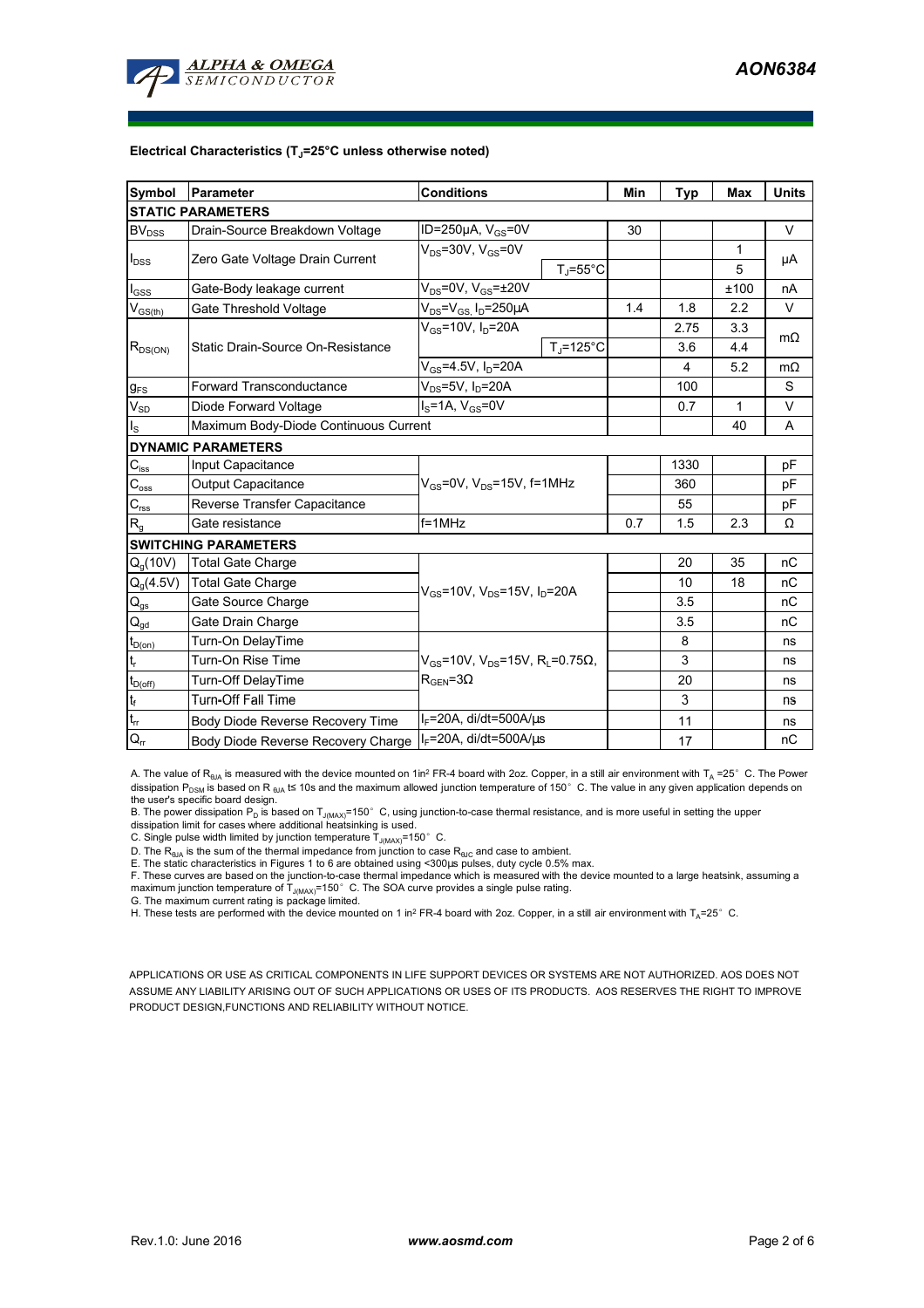

#### **Electrical Characteristics (TJ=25°C unless otherwise noted)**

| Symbol                                  | Parameter                             | <b>Conditions</b>                                           | Min | Typ  | <b>Max</b>   | <b>Units</b> |  |  |  |  |  |  |  |
|-----------------------------------------|---------------------------------------|-------------------------------------------------------------|-----|------|--------------|--------------|--|--|--|--|--|--|--|
| <b>STATIC PARAMETERS</b>                |                                       |                                                             |     |      |              |              |  |  |  |  |  |  |  |
| BV <sub>DSS</sub>                       | Drain-Source Breakdown Voltage        | ID=250 $\mu$ A, V <sub>GS</sub> =0V                         |     |      |              | $\vee$       |  |  |  |  |  |  |  |
| $I_{DSS}$                               | Zero Gate Voltage Drain Current       | $V_{DS}$ =30V, $V_{GS}$ =0V                                 |     |      | $\mathbf{1}$ | μA           |  |  |  |  |  |  |  |
|                                         |                                       | $T_J = 55^{\circ}C$                                         |     |      | 5            |              |  |  |  |  |  |  |  |
| $I_{GSS}$                               | Gate-Body leakage current             | $V_{DS}$ =0V, $V_{GS}$ = $\pm$ 20V                          |     |      | ±100         | nA           |  |  |  |  |  |  |  |
| $\mathsf{V}_{\mathsf{GS}(\mathsf{th})}$ | Gate Threshold Voltage                | $V_{DS}$ = $V_{GS}$ , $I_D$ =250 $\mu$ A                    | 1.4 | 1.8  | 2.2          | V            |  |  |  |  |  |  |  |
| $R_{DS(ON)}$                            |                                       | $V_{GS}$ =10V, $I_D$ =20A                                   |     | 2.75 | 3.3          | $m\Omega$    |  |  |  |  |  |  |  |
|                                         | Static Drain-Source On-Resistance     | $T_{\rm J}$ =125°C                                          | 3.6 |      | 4.4          |              |  |  |  |  |  |  |  |
|                                         |                                       | $V_{GS}$ =4.5V, I <sub>D</sub> =20A                         |     | 4    | 5.2          | $m\Omega$    |  |  |  |  |  |  |  |
| $g_{FS}$                                | <b>Forward Transconductance</b>       | $V_{DS}$ =5V, I <sub>D</sub> =20A                           |     |      |              | S            |  |  |  |  |  |  |  |
| $V_{SD}$                                | Diode Forward Voltage                 | $IS=1A, VGS=0V$                                             |     | 0.7  | 1            | V            |  |  |  |  |  |  |  |
| $I_{\rm S}$                             | Maximum Body-Diode Continuous Current |                                                             |     | 40   | A            |              |  |  |  |  |  |  |  |
| <b>DYNAMIC PARAMETERS</b>               |                                       |                                                             |     |      |              |              |  |  |  |  |  |  |  |
| $C_{\text{iss}}$                        | Input Capacitance                     |                                                             |     | 1330 |              | pF           |  |  |  |  |  |  |  |
| $C_{\rm oss}$                           | Output Capacitance                    | $V_{GS}$ =0V, $V_{DS}$ =15V, f=1MHz                         |     |      |              | pF           |  |  |  |  |  |  |  |
| $\mathbf{C}_{\text{rss}}$               | Reverse Transfer Capacitance          |                                                             |     | 55   |              | pF           |  |  |  |  |  |  |  |
| $R_{g}$                                 | Gate resistance                       | $f = 1$ MHz                                                 |     |      | 2.3          | Ω            |  |  |  |  |  |  |  |
|                                         | <b>SWITCHING PARAMETERS</b>           |                                                             |     |      |              |              |  |  |  |  |  |  |  |
| Q <sub>a</sub> (10V)                    | <b>Total Gate Charge</b>              |                                                             |     | 20   | 35           | nC           |  |  |  |  |  |  |  |
| $Q_g(4.5V)$                             | <b>Total Gate Charge</b>              | $V_{GS}$ =10V, $V_{DS}$ =15V, $I_D$ =20A                    |     | 10   | 18           | nC           |  |  |  |  |  |  |  |
| $Q_{gs}$                                | Gate Source Charge                    |                                                             |     | 3.5  |              | nC           |  |  |  |  |  |  |  |
| $\mathsf{Q}_{\underline{\mathsf{gd}}}$  | Gate Drain Charge                     |                                                             |     | 3.5  |              | nC           |  |  |  |  |  |  |  |
| $t_{D(0n)}$                             | Turn-On DelayTime                     |                                                             |     | 8    |              | ns           |  |  |  |  |  |  |  |
| t,                                      | Turn-On Rise Time                     | $V_{GS}$ =10V, V <sub>DS</sub> =15V, R <sub>i</sub> =0.75Ω, |     | 3    |              | ns           |  |  |  |  |  |  |  |
| $t_{D(off)}$                            | Turn-Off DelayTime                    | $R_{\text{GEN}} = 3\Omega$                                  |     | 20   |              | ns           |  |  |  |  |  |  |  |
| $\mathbf{t}_\text{f}$                   | <b>Turn-Off Fall Time</b>             |                                                             |     | 3    |              | ns           |  |  |  |  |  |  |  |
| $t_{\rm rr}$                            | Body Diode Reverse Recovery Time      |                                                             | 11  |      | ns           |              |  |  |  |  |  |  |  |
| $Q_{rr}$                                | Body Diode Reverse Recovery Charge    |                                                             | 17  |      | пC           |              |  |  |  |  |  |  |  |

A. The value of  $R_{\theta JA}$  is measured with the device mounted on 1in<sup>2</sup> FR-4 board with 2oz. Copper, in a still air environment with T<sub>A</sub> =25° C. The Power dissipation P<sub>DSM</sub> is based on R <sub>θJA</sub> t≤ 10s and the maximum allowed junction temperature of 150°C. The value in any given application depends on

the user's specific board design.<br>B. The power dissipation P<sub>D</sub> is based on T<sub>J(MAX)</sub>=150° C, using junction-to-case thermal resistance, and is more useful in setting the upper<br>dissipation limit for cases where additional

D. The  $R_{\theta J\Delta}$  is the sum of the thermal impedance from junction to case  $R_{\theta JC}$  and case to ambient. E. The static characteristics in Figures 1 to 6 are obtained using <300us pulses, duty cycle 0.5% max.

F. These curves are based on the junction-to-case thermal impedance which is measured with the device mounted to a large heatsink, assuming a maximum junction temperature of  $T_{J(MAX)}$ =150°C. The SOA curve provides a single pulse rating.

G. The maximum current rating is package limited.

H. These tests are performed with the device mounted on 1 in<sup>2</sup> FR-4 board with 2oz. Copper, in a still air environment with T<sub>A</sub>=25°C.

APPLICATIONS OR USE AS CRITICAL COMPONENTS IN LIFE SUPPORT DEVICES OR SYSTEMS ARE NOT AUTHORIZED. AOS DOES NOT ASSUME ANY LIABILITY ARISING OUT OF SUCH APPLICATIONS OR USES OF ITS PRODUCTS. AOS RESERVES THE RIGHT TO IMPROVE PRODUCT DESIGN,FUNCTIONS AND RELIABILITY WITHOUT NOTICE.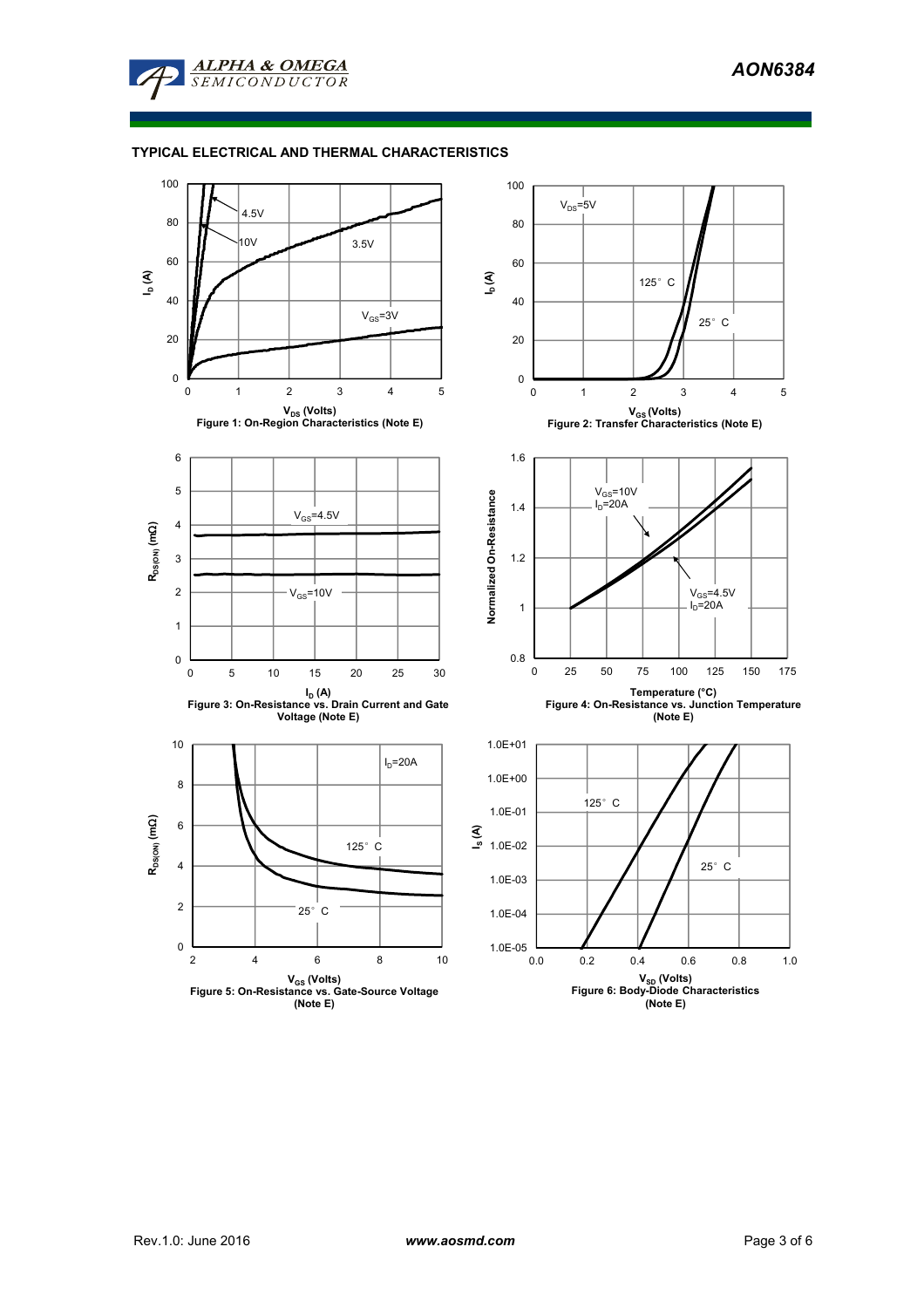

# **TYPICAL ELECTRICAL AND THERMAL CHARACTERISTICS**

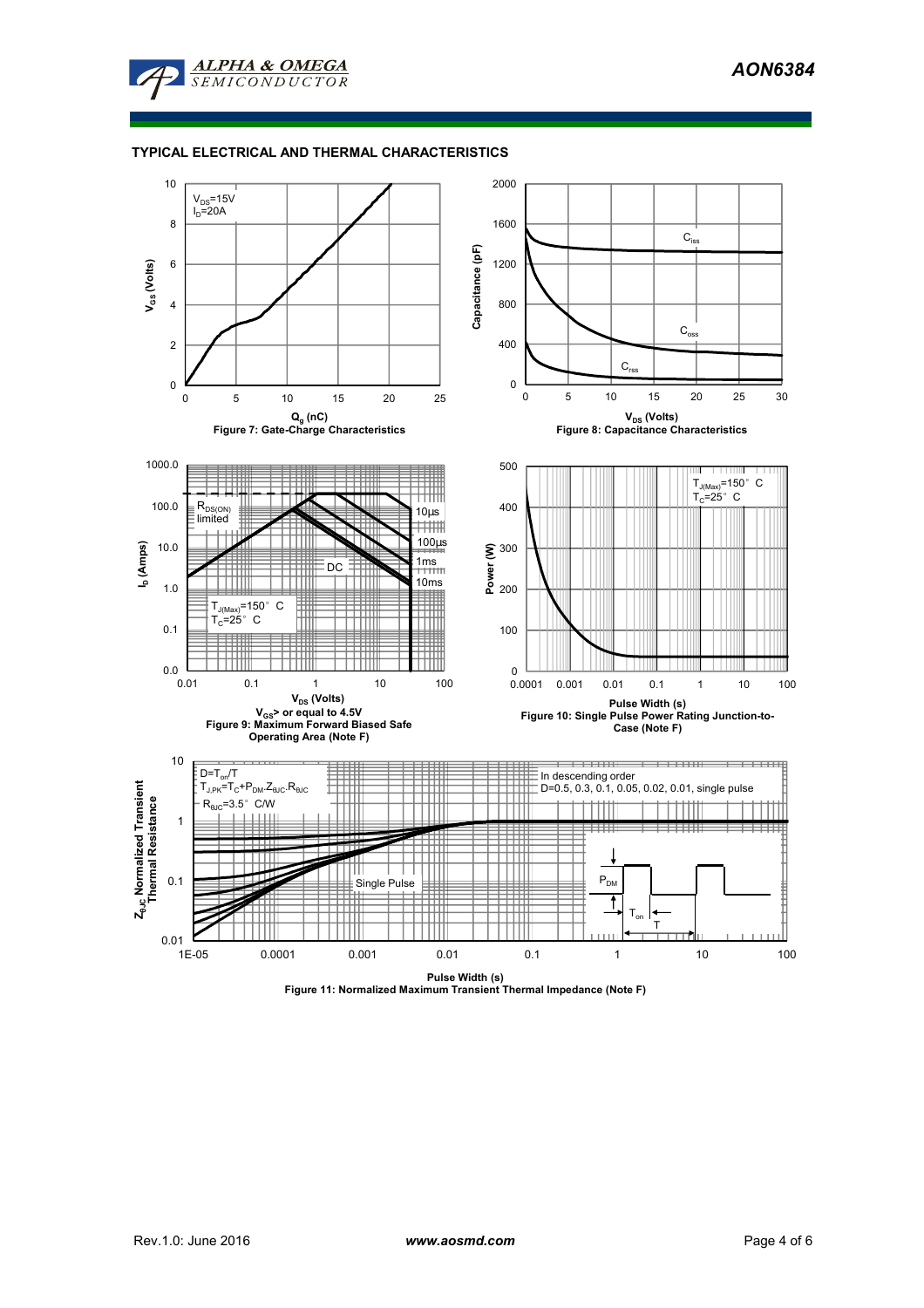

# **TYPICAL ELECTRICAL AND THERMAL CHARACTERISTICS**

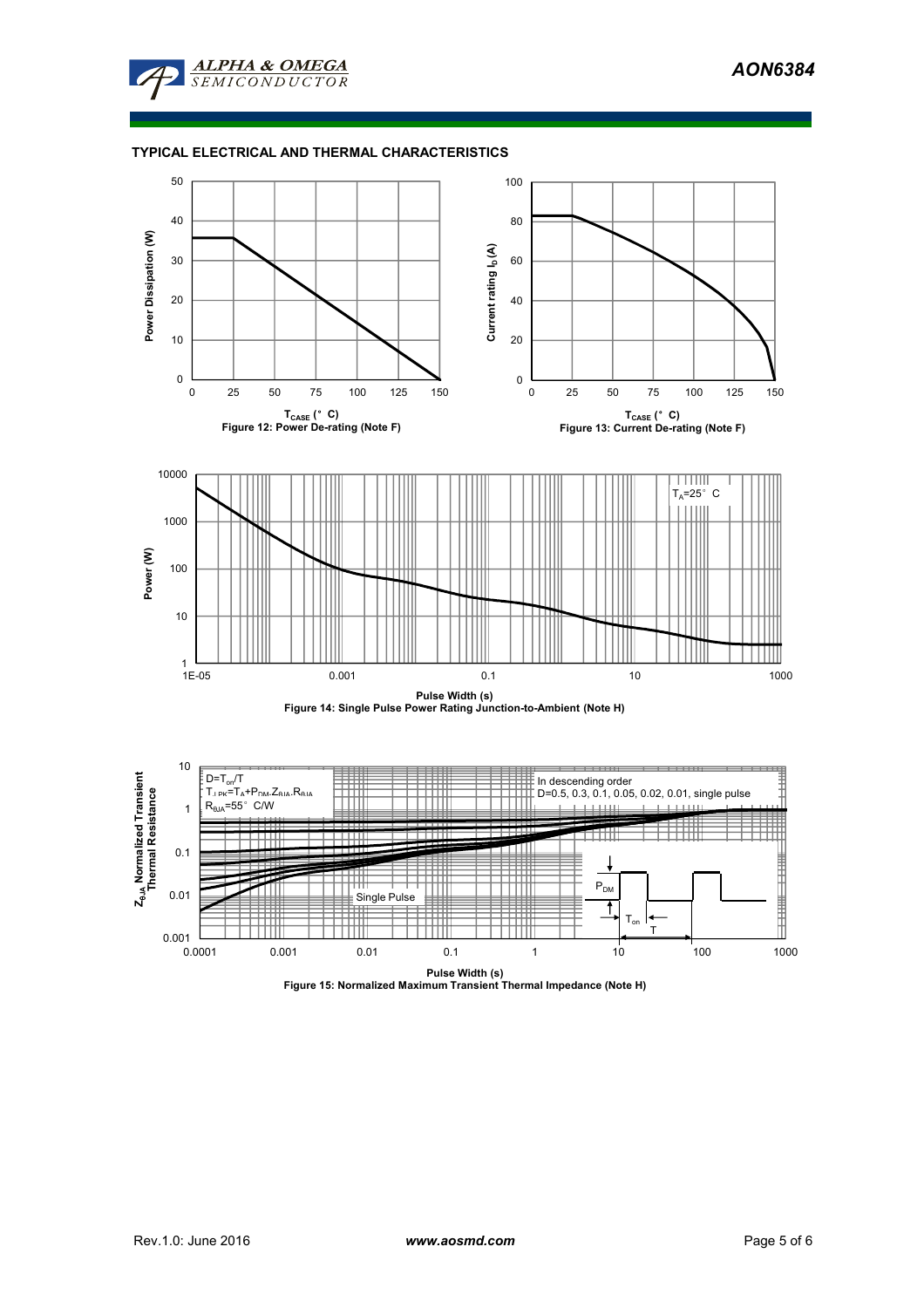

# **TYPICAL ELECTRICAL AND THERMAL CHARACTERISTICS**



**Pulse Width (s) Figure 15: Normalized Maximum Transient Thermal Impedance (Note H)**